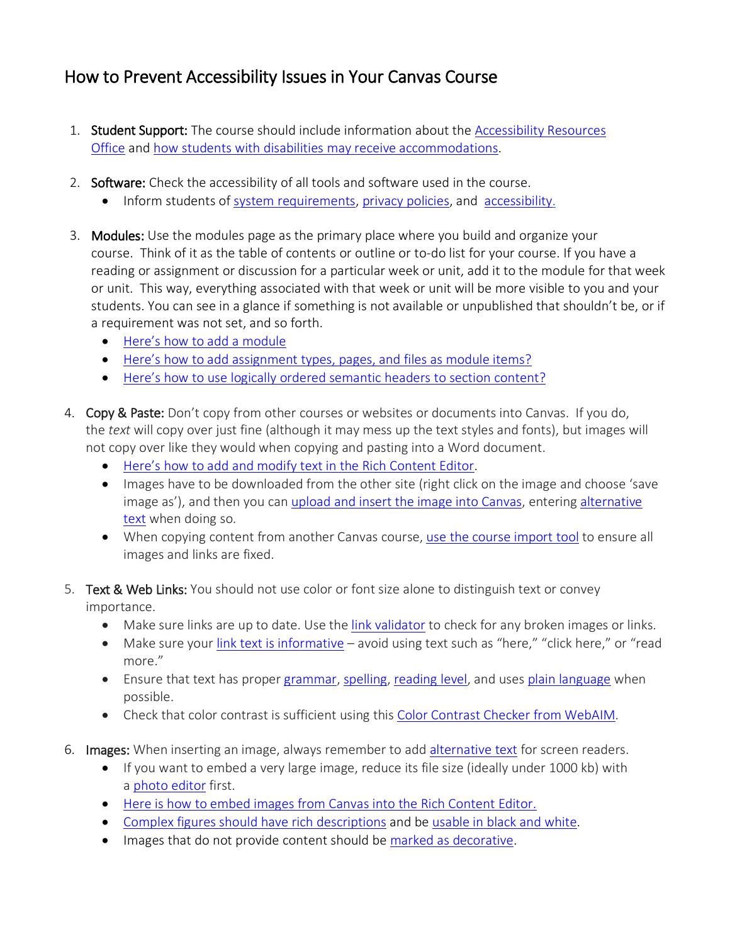## How to Prevent Accessibility Issues in Your Canvas Course

- 1. Student Support: The course should include information about the [Accessibility](https://www.uc.edu/campus-life/accessibility-resources.html) Resources [Office](https://www.uc.edu/campus-life/accessibility-resources.html) and how students with disabilities may receive [accommodations.](https://www.uc.edu/campus-life/accessibility-resources/resources/accommodation-form.html)
- 2. Software: Check the accessibility of all tools and software used in the course.
	- Inform students of system [requirements,](https://www.uc.edu/test/student-orientation/Technical_Requirements.html) privacy [policies,](https://www.uc.edu/about/policies/privacy.html) and [accessibility.](https://www.uc.edu/about/ucit/about/accessibility/articles/policy.html)
- 3. Modules: Use the modules page as the primary place where you build and organize your course. Think of it as the table of contents or outline or to-do list for your course. If you have a reading or assignment or discussion for a particular week or unit, add it to the module for that week or unit. This way, everything associated with that week or unit will be more visible to you and your students. You can see in a glance if something is not available or unpublished that shouldn't be, or if a requirement was not set, and so forth.
	- Here's how to add a [module](https://community.canvaslms.com/docs/DOC-13129-415241424)
	- Here's how to add [assignment](https://community.canvaslms.com/docs/DOC-12689-415241427) types, pages, and files as module items?
	- Here's how to use logically ordered [semantic](https://community.canvaslms.com/docs/DOC-14513-4152876622#use_the_paragraph_drop_down_menu) headers to section content?
- 4. Copy & Paste: Don't copy from other courses or websites or documents into Canvas. If you do, the *text* will copy over just fine (although it may mess up the text styles and fonts), but images will not copy over like they would when copying and pasting into a Word document.
	- Here's how to add and modify text in the Rich [Content](https://community.canvaslms.com/docs/DOC-14513-4152876622) Editor.
	- Images have to be downloaded from the other site (right click on the image and choose 'save image as'), and then you can upload and insert the image into [Canvas,](https://community.canvaslms.com/docs/DOC-13014-415265830) entering [alternative](https://www.uc.edu/about/ucit/about/accessibility/articles/alt.html) [text](https://www.uc.edu/about/ucit/about/accessibility/articles/alt.html) when doing so.
	- When copying content from another Canvas course, use the course [import](https://community.canvaslms.com/docs/DOC-13035-4152239683) tool to ensure all images and links are fixed.
- 5. Text & Web Links: You should not use color or font size alone to distinguish text or convey importance.
	- Make sure links are up to date. Use the link [validator](https://community.canvaslms.com/docs/DOC-12770-4152476605) to check for any broken images or links.
	- Make sure your link text is [informative](https://webaim.org/techniques/hypertext/link_text) avoid using text such as "here," "click here," or "read more."
	- Ensure that text has proper [grammar,](https://www.grammarly.com/) [spelling,](https://www.makeuseof.com/tag/best-ways-to-spell-check-on-the-go-in-chrome/) [reading](https://support.office.com/en-us/article/test-your-document-s-readability-85b4969e-e80a-4777-8dd3-f7fc3c8b3fd2) level, and uses plain [language](https://www.plainlanguage.gov/about/definitions/) when possible.
	- Check that color contrast is sufficient using this Color Contrast Checker from [WebAIM.](https://webaim.org/resources/contrastchecker/)
- 6. Images: When inserting an image, always remember to add [alternative](https://www.uc.edu/about/ucit/about/accessibility/articles/alt.html) text for screen readers.
	- If you want to embed a very large image, reduce its file size (ideally under 1000 kb) with a photo [editor](https://www.techradar.com/news/the-best-free-online-photo-editor) first.
	- Here is how to embed images from Canvas into the Rich [Content](https://community.canvaslms.com/docs/DOC-12904-4152115077) Editor.
	- Complex figures should have rich [descriptions](https://www.pcc.edu/instructional-support/wp-content/uploads/sites/17/2017/11/complex-images.pdf) and be [usable](https://webaim.org/techniques/images/#color) in black and white.
	- Images that do not provide content should be marked as [decorative.](https://guides.instructure.com/m/4152/l/115077-how-do-i-embed-images-from-canvas-into-the-rich-content-editor#insert-alt-text)